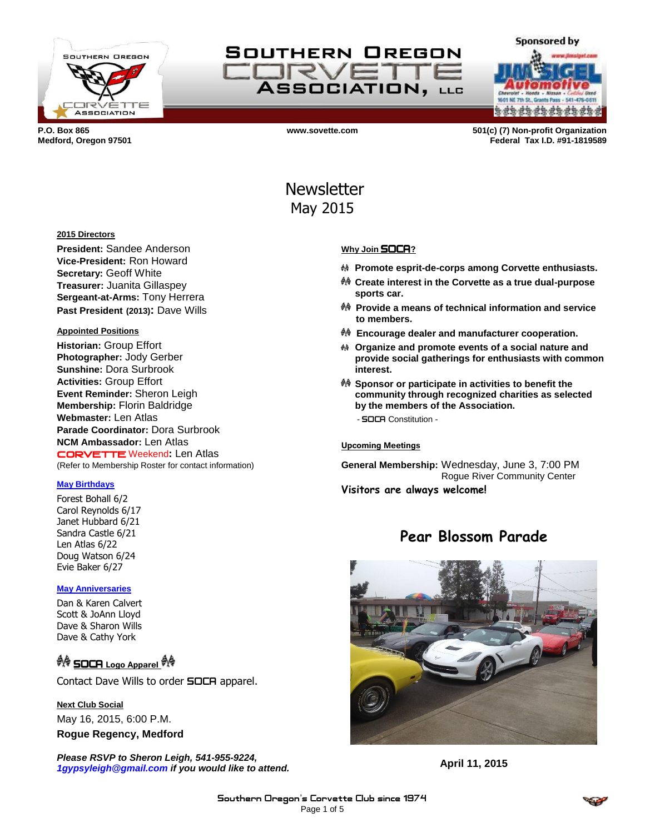

## SOUTHERN OREGON **SIRVE ASSOCIATION, LLG**

**a da da da da da da da** 

**Sponsored by** 

**P.O. Box 865 www.sovette.com 501(c) (7) Non-profit Organization Medford, Oregon 97501 Federal Tax I.D. #91-1819589**

# Newsletter May 2015

## **Why Join** SOCA**?**

- **Promote esprit-de-corps among Corvette enthusiasts.**
- **Create interest in the Corvette as a true dual-purpose sports car.**
- **Provide a means of technical information and service to members.**
- **Encourage dealer and manufacturer cooperation.**
- **Organize and promote events of a social nature and provide social gatherings for enthusiasts with common interest.**
- **Sponsor or participate in activities to benefit the community through recognized charities as selected by the members of the Association.**
	- SOCA Constitution -

### **Upcoming Meetings**

**General Membership:** Wednesday, June 3, 7:00 PM Rogue River Community Center **Visitors are always welcome!**

## **Pear Blossom Parade**



**April 11, 2015**

#### **2015 Directors**

**President:** Sandee Anderson **Vice-President:** Ron Howard **Secretary:** Geoff White **Treasurer:** Juanita Gillaspey **Sergeant-at-Arms:** Tony Herrera **Past President (2013):** Dave Wills

### **Appointed Positions**

**Historian:** Group Effort **Photographer:** Jody Gerber **Sunshine:** Dora Surbrook **Activities:** Group Effort **Event Reminder:** Sheron Leigh **Membership:** Florin Baldridge **Webmaster:** Len Atlas **Parade Coordinator:** Dora Surbrook **NCM Ambassador:** Len Atlas CORVETTE Weekend**:** Len Atlas (Refer to Membership Roster for contact information)

### **May Birthdays**

Forest Bohall 6/2 Carol Reynolds 6/17 Janet Hubbard 6/21 Sandra Castle 6/21 Len Atlas 6/22 Doug Watson 6/24 Evie Baker 6/27

### **May Anniversaries**

Dan & Karen Calvert Scott & JoAnn Lloyd Dave & Sharon Wills Dave & Cathy York

## SOCA **Logo Apparel**

Contact Dave Wills to order **SOCA** apparel.

### **Next Club Social**

May 16, 2015, 6:00 P.M. **Rogue Regency, Medford**

*Please RSVP to Sheron Leigh, 541-955-9224, 1gypsyleigh@gmail.com if you would like to attend.*

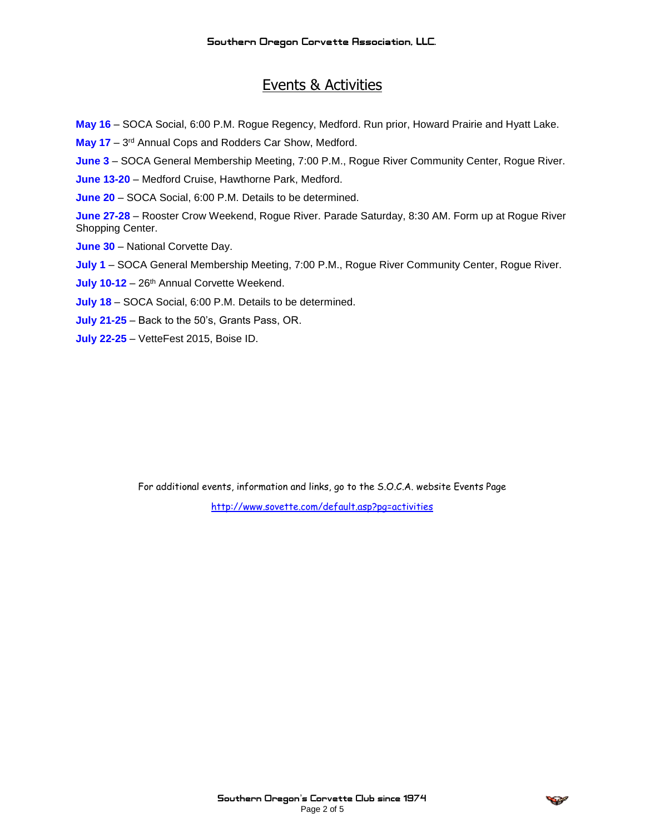## Events & Activities

**May 16** – SOCA Social, 6:00 P.M. Rogue Regency, Medford. Run prior, Howard Prairie and Hyatt Lake.

May 17 - 3<sup>rd</sup> Annual Cops and Rodders Car Show, Medford.

**June 3** – SOCA General Membership Meeting, 7:00 P.M., Rogue River Community Center, Rogue River.

**June 13-20** – Medford Cruise, Hawthorne Park, Medford.

**June 20** – SOCA Social, 6:00 P.M. Details to be determined.

**June 27-28** – Rooster Crow Weekend, Rogue River. Parade Saturday, 8:30 AM. Form up at Rogue River Shopping Center.

**June 30** – National Corvette Day.

**July 1** – SOCA General Membership Meeting, 7:00 P.M., Rogue River Community Center, Rogue River.

July 10-12 - 26<sup>th</sup> Annual Corvette Weekend.

**July 18** – SOCA Social, 6:00 P.M. Details to be determined.

**July 21-25** – Back to the 50's, Grants Pass, OR.

**July 22-25** – VetteFest 2015, Boise ID.

For additional events, information and links, go to the S.O.C.A. website Events Page <http://www.sovette.com/default.asp?pg=activities>

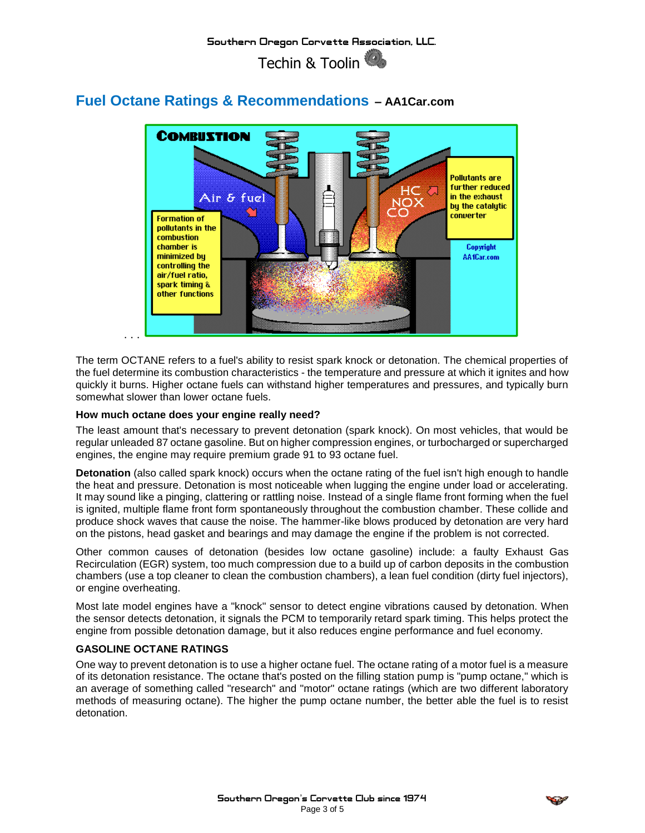

## **Fuel Octane Ratings & Recommendations – AA1Car.com**

The term OCTANE refers to a fuel's ability to resist spark knock or detonation. The chemical properties of the fuel determine its combustion characteristics - the temperature and pressure at which it ignites and how quickly it burns. Higher octane fuels can withstand higher temperatures and pressures, and typically burn somewhat slower than lower octane fuels.

## **How much octane does your engine really need?**

The least amount that's necessary to prevent detonation (spark knock). On most vehicles, that would be regular unleaded 87 octane gasoline. But on higher compression engines, or turbocharged or supercharged engines, the engine may require premium grade 91 to 93 octane fuel.

**[Detonation](http://www.aa1car.com/library/what_is_detonation.htm)** (also called [spark knock\)](http://www.aa1car.com/library/spark_knock.htm) occurs when the octane rating of the fuel isn't high enough to handle the heat and pressure. Detonation is most noticeable when lugging the engine under load or accelerating. It may sound like a pinging, clattering or rattling noise. Instead of a single flame front forming when the fuel is ignited, multiple flame front form spontaneously throughout the combustion chamber. These collide and produce shock waves that cause the noise. The hammer-like blows produced by detonation are very hard on the pistons, head gasket and bearings and may damage the engine if the problem is not corrected.

Other common causes of detonation (besides low octane gasoline) include: a faulty [Exhaust Gas](http://www.aa1car.com/library/egr.htm)  [Recirculation \(EGR\)](http://www.aa1car.com/library/egr.htm) system, too much compression due to a build up of carbon deposits in the combustion chambers (use a top cleaner to clean the combustion chambers), a lean fuel condition (dirty fuel injectors), or [engine overheating.](http://www.aa1car.com/library/overheat.htm)

Most late model engines have a "knock" sensor to detect engine vibrations caused by detonation. When the sensor detects detonation, it signals the PCM to temporarily retard spark timing. This helps protect the engine from possible detonation damage, but it also reduces engine performance and fuel economy.

## **GASOLINE OCTANE RATINGS**

One way to prevent detonation is to use a higher octane fuel. The octane rating of a motor fuel is a measure of its detonation resistance. The octane that's posted on the filling station pump is "pump octane," which is an average of something called "research" and "motor" octane ratings (which are two different laboratory methods of measuring octane). The higher the pump octane number, the better able the fuel is to resist detonation.